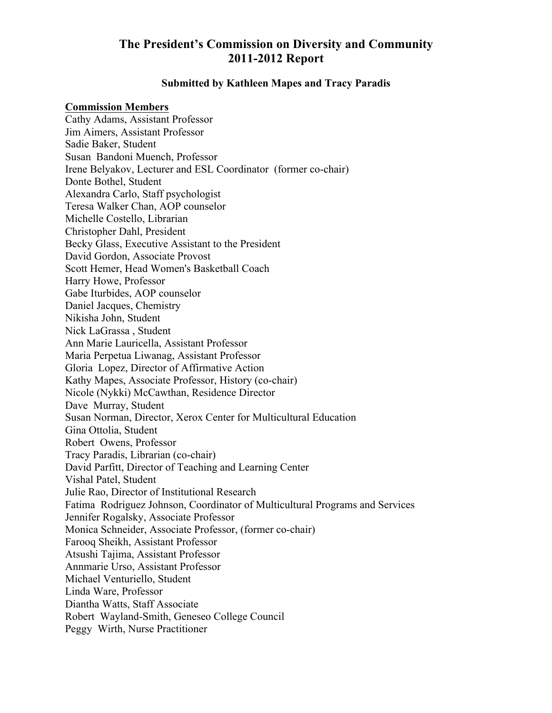# **The President's Commission on Diversity and Community 2011-2012 Report**

#### **Submitted by Kathleen Mapes and Tracy Paradis**

#### **Commission Members**

Cathy Adams, Assistant Professor Jim Aimers, Assistant Professor Sadie Baker, Student Susan Bandoni Muench, Professor Irene Belyakov, Lecturer and ESL Coordinator (former co-chair) Donte Bothel, Student Alexandra Carlo, Staff psychologist Teresa Walker Chan, AOP counselor Michelle Costello, Librarian Christopher Dahl, President Becky Glass, Executive Assistant to the President David Gordon, Associate Provost Scott Hemer, Head Women's Basketball Coach Harry Howe, Professor Gabe Iturbides, AOP counselor Daniel Jacques, Chemistry Nikisha John, Student Nick LaGrassa , Student Ann Marie Lauricella, Assistant Professor Maria Perpetua Liwanag, Assistant Professor Gloria Lopez, Director of Affirmative Action Kathy Mapes, Associate Professor, History (co-chair) Nicole (Nykki) McCawthan, Residence Director Dave Murray, Student Susan Norman, Director, Xerox Center for Multicultural Education Gina Ottolia, Student Robert Owens, Professor Tracy Paradis, Librarian (co-chair) David Parfitt, Director of Teaching and Learning Center Vishal Patel, Student Julie Rao, Director of Institutional Research Fatima Rodriguez Johnson, Coordinator of Multicultural Programs and Services Jennifer Rogalsky, Associate Professor Monica Schneider, Associate Professor, (former co-chair) Farooq Sheikh, Assistant Professor Atsushi Tajima, Assistant Professor Annmarie Urso, Assistant Professor Michael Venturiello, Student Linda Ware, Professor Diantha Watts, Staff Associate Robert Wayland-Smith, Geneseo College Council Peggy Wirth, Nurse Practitioner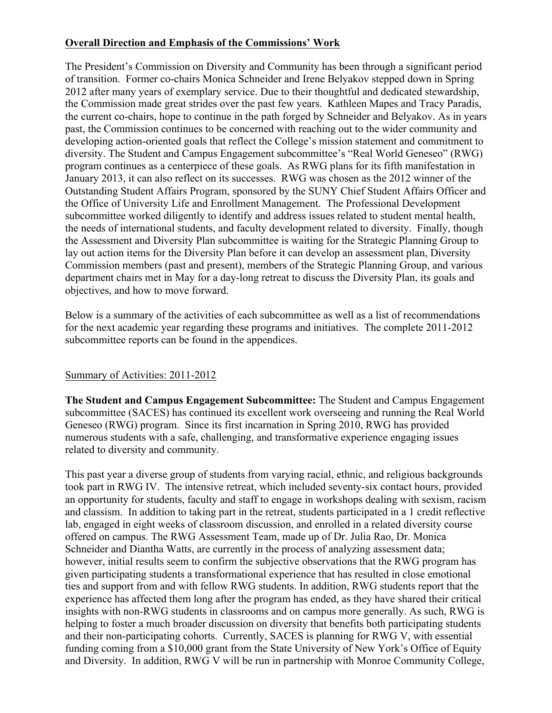## **Overall Direction and Emphasis of the Commissions' Work**

The President's Commission on Diversity and Community has been through a significant period of transition. Former co-chairs Monica Schneider and Irene Belyakov stepped down in Spring 2012 after many years of exemplary service. Due to their thoughtful and dedicated stewardship, the Commission made great strides over the past few years. Kathleen Mapes and Tracy Paradis, the current co-chairs, hope to continue in the path forged by Schneider and Belyakov. As in years past, the Commission continues to be concerned with reaching out to the wider community and developing action-oriented goals that reflect the College's mission statement and commitment to diversity. The Student and Campus Engagement subcommittee's "Real World Geneseo" (RWG) program continues as a centerpiece of these goals. As RWG plans for its fifth manifestation in January 2013, it can also reflect on its successes. RWG was chosen as the 2012 winner of the Outstanding Student Affairs Program, sponsored by the SUNY Chief Student Affairs Officer and the Office of University Life and Enrollment Management. The Professional Development subcommittee worked diligently to identify and address issues related to student mental health, the needs of international students, and faculty development related to diversity. Finally, though the Assessment and Diversity Plan subcommittee is waiting for the Strategic Planning Group to lay out action items for the Diversity Plan before it can develop an assessment plan, Diversity Commission members (past and present), members of the Strategic Planning Group, and various department chairs met in May for a day-long retreat to discuss the Diversity Plan, its goals and objectives, and how to move forward.

Below is a summary of the activities of each subcommittee as well as a list of recommendations for the next academic year regarding these programs and initiatives. The complete 2011-2012 subcommittee reports can be found in the appendices.

### Summary of Activities: 2011-2012

**The Student and Campus Engagement Subcommittee:** The Student and Campus Engagement subcommittee (SACES) has continued its excellent work overseeing and running the Real World Geneseo (RWG) program. Since its first incarnation in Spring 2010, RWG has provided numerous students with a safe, challenging, and transformative experience engaging issues related to diversity and community.

This past year a diverse group of students from varying racial, ethnic, and religious backgrounds took part in RWG IV. The intensive retreat, which included seventy-six contact hours, provided an opportunity for students, faculty and staff to engage in workshops dealing with sexism, racism and classism. In addition to taking part in the retreat, students participated in a 1 credit reflective lab, engaged in eight weeks of classroom discussion, and enrolled in a related diversity course offered on campus. The RWG Assessment Team, made up of Dr. Julia Rao, Dr. Monica Schneider and Diantha Watts, are currently in the process of analyzing assessment data; however, initial results seem to confirm the subjective observations that the RWG program has given participating students a transformational experience that has resulted in close emotional ties and support from and with fellow RWG students. In addition, RWG students report that the experience has affected them long after the program has ended, as they have shared their critical insights with non-RWG students in classrooms and on campus more generally. As such, RWG is helping to foster a much broader discussion on diversity that benefits both participating students and their non-participating cohorts. Currently, SACES is planning for RWG V, with essential funding coming from a \$10,000 grant from the State University of New York's Office of Equity and Diversity. In addition, RWG V will be run in partnership with Monroe Community College,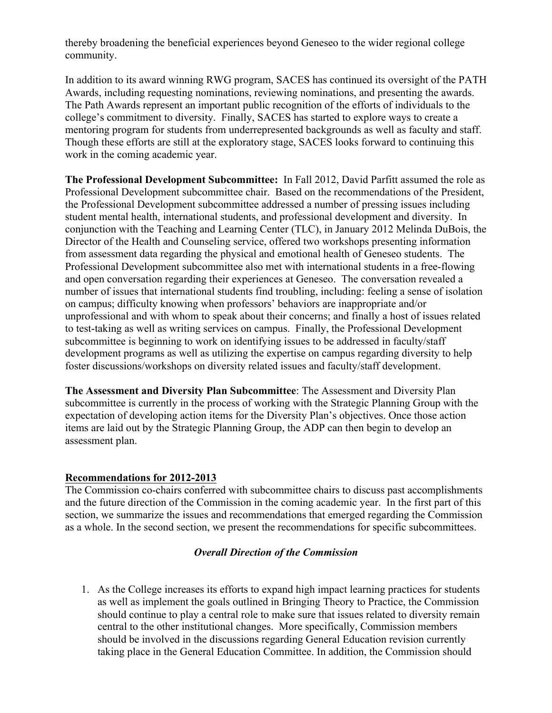thereby broadening the beneficial experiences beyond Geneseo to the wider regional college community.

In addition to its award winning RWG program, SACES has continued its oversight of the PATH Awards, including requesting nominations, reviewing nominations, and presenting the awards. The Path Awards represent an important public recognition of the efforts of individuals to the college's commitment to diversity. Finally, SACES has started to explore ways to create a mentoring program for students from underrepresented backgrounds as well as faculty and staff. Though these efforts are still at the exploratory stage, SACES looks forward to continuing this work in the coming academic year.

**The Professional Development Subcommittee:** In Fall 2012, David Parfitt assumed the role as Professional Development subcommittee chair. Based on the recommendations of the President, the Professional Development subcommittee addressed a number of pressing issues including student mental health, international students, and professional development and diversity. In conjunction with the Teaching and Learning Center (TLC), in January 2012 Melinda DuBois, the Director of the Health and Counseling service, offered two workshops presenting information from assessment data regarding the physical and emotional health of Geneseo students. The Professional Development subcommittee also met with international students in a free-flowing and open conversation regarding their experiences at Geneseo. The conversation revealed a number of issues that international students find troubling, including: feeling a sense of isolation on campus; difficulty knowing when professors' behaviors are inappropriate and/or unprofessional and with whom to speak about their concerns; and finally a host of issues related to test-taking as well as writing services on campus. Finally, the Professional Development subcommittee is beginning to work on identifying issues to be addressed in faculty/staff development programs as well as utilizing the expertise on campus regarding diversity to help foster discussions/workshops on diversity related issues and faculty/staff development.

**The Assessment and Diversity Plan Subcommittee**: The Assessment and Diversity Plan subcommittee is currently in the process of working with the Strategic Planning Group with the expectation of developing action items for the Diversity Plan's objectives. Once those action items are laid out by the Strategic Planning Group, the ADP can then begin to develop an assessment plan.

### **Recommendations for 2012-2013**

The Commission co-chairs conferred with subcommittee chairs to discuss past accomplishments and the future direction of the Commission in the coming academic year. In the first part of this section, we summarize the issues and recommendations that emerged regarding the Commission as a whole. In the second section, we present the recommendations for specific subcommittees.

#### *Overall Direction of the Commission*

1. As the College increases its efforts to expand high impact learning practices for students as well as implement the goals outlined in Bringing Theory to Practice, the Commission should continue to play a central role to make sure that issues related to diversity remain central to the other institutional changes. More specifically, Commission members should be involved in the discussions regarding General Education revision currently taking place in the General Education Committee. In addition, the Commission should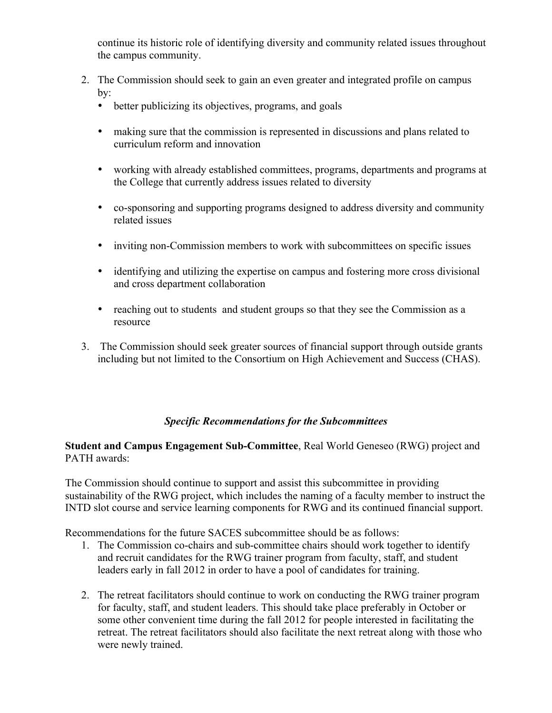continue its historic role of identifying diversity and community related issues throughout the campus community.

- 2. The Commission should seek to gain an even greater and integrated profile on campus  $bv$ 
	- better publicizing its objectives, programs, and goals
	- making sure that the commission is represented in discussions and plans related to curriculum reform and innovation
	- working with already established committees, programs, departments and programs at the College that currently address issues related to diversity
	- co-sponsoring and supporting programs designed to address diversity and community related issues
	- inviting non-Commission members to work with subcommittees on specific issues
	- identifying and utilizing the expertise on campus and fostering more cross divisional and cross department collaboration
	- reaching out to students and student groups so that they see the Commission as a resource
- 3. The Commission should seek greater sources of financial support through outside grants including but not limited to the Consortium on High Achievement and Success (CHAS).

### *Specific Recommendations for the Subcommittees*

### **Student and Campus Engagement Sub-Committee**, Real World Geneseo (RWG) project and PATH awards:

The Commission should continue to support and assist this subcommittee in providing sustainability of the RWG project, which includes the naming of a faculty member to instruct the INTD slot course and service learning components for RWG and its continued financial support.

Recommendations for the future SACES subcommittee should be as follows:

- 1. The Commission co-chairs and sub-committee chairs should work together to identify and recruit candidates for the RWG trainer program from faculty, staff, and student leaders early in fall 2012 in order to have a pool of candidates for training.
- 2. The retreat facilitators should continue to work on conducting the RWG trainer program for faculty, staff, and student leaders. This should take place preferably in October or some other convenient time during the fall 2012 for people interested in facilitating the retreat. The retreat facilitators should also facilitate the next retreat along with those who were newly trained.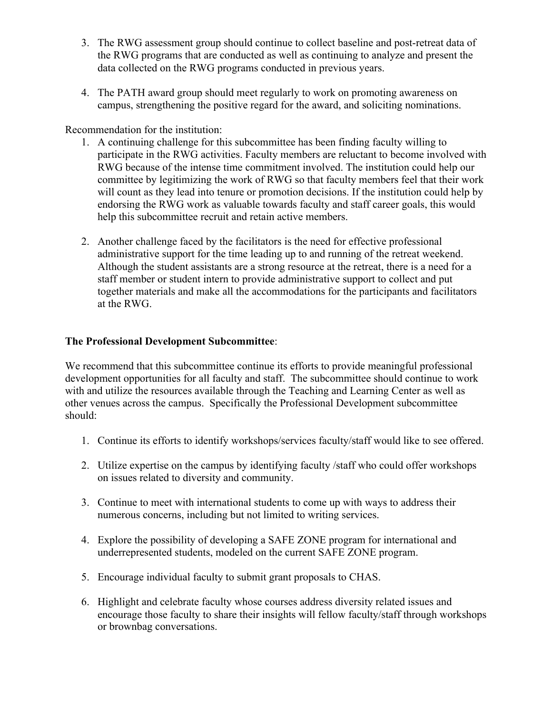- 3. The RWG assessment group should continue to collect baseline and post-retreat data of the RWG programs that are conducted as well as continuing to analyze and present the data collected on the RWG programs conducted in previous years.
- 4. The PATH award group should meet regularly to work on promoting awareness on campus, strengthening the positive regard for the award, and soliciting nominations.

Recommendation for the institution:

- 1. A continuing challenge for this subcommittee has been finding faculty willing to participate in the RWG activities. Faculty members are reluctant to become involved with RWG because of the intense time commitment involved. The institution could help our committee by legitimizing the work of RWG so that faculty members feel that their work will count as they lead into tenure or promotion decisions. If the institution could help by endorsing the RWG work as valuable towards faculty and staff career goals, this would help this subcommittee recruit and retain active members.
- 2. Another challenge faced by the facilitators is the need for effective professional administrative support for the time leading up to and running of the retreat weekend. Although the student assistants are a strong resource at the retreat, there is a need for a staff member or student intern to provide administrative support to collect and put together materials and make all the accommodations for the participants and facilitators at the RWG.

## **The Professional Development Subcommittee**:

We recommend that this subcommittee continue its efforts to provide meaningful professional development opportunities for all faculty and staff. The subcommittee should continue to work with and utilize the resources available through the Teaching and Learning Center as well as other venues across the campus. Specifically the Professional Development subcommittee should:

- 1. Continue its efforts to identify workshops/services faculty/staff would like to see offered.
- 2. Utilize expertise on the campus by identifying faculty /staff who could offer workshops on issues related to diversity and community.
- 3. Continue to meet with international students to come up with ways to address their numerous concerns, including but not limited to writing services.
- 4. Explore the possibility of developing a SAFE ZONE program for international and underrepresented students, modeled on the current SAFE ZONE program.
- 5. Encourage individual faculty to submit grant proposals to CHAS.
- 6. Highlight and celebrate faculty whose courses address diversity related issues and encourage those faculty to share their insights will fellow faculty/staff through workshops or brownbag conversations.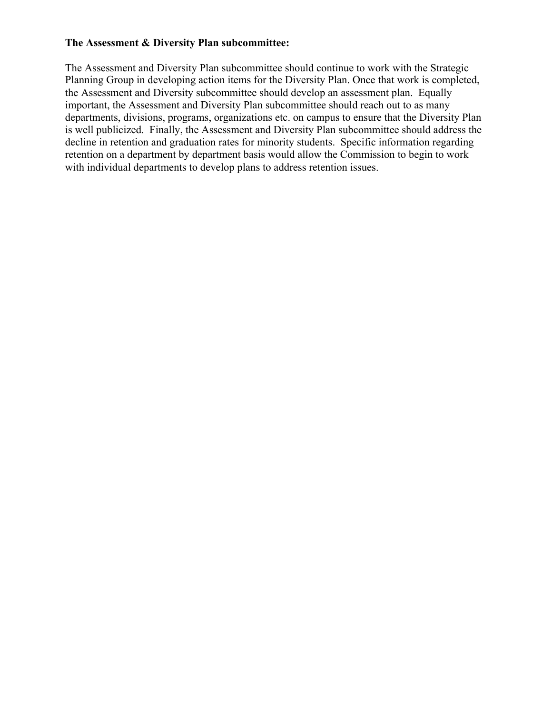#### **The Assessment & Diversity Plan subcommittee:**

The Assessment and Diversity Plan subcommittee should continue to work with the Strategic Planning Group in developing action items for the Diversity Plan. Once that work is completed, the Assessment and Diversity subcommittee should develop an assessment plan. Equally important, the Assessment and Diversity Plan subcommittee should reach out to as many departments, divisions, programs, organizations etc. on campus to ensure that the Diversity Plan is well publicized. Finally, the Assessment and Diversity Plan subcommittee should address the decline in retention and graduation rates for minority students. Specific information regarding retention on a department by department basis would allow the Commission to begin to work with individual departments to develop plans to address retention issues.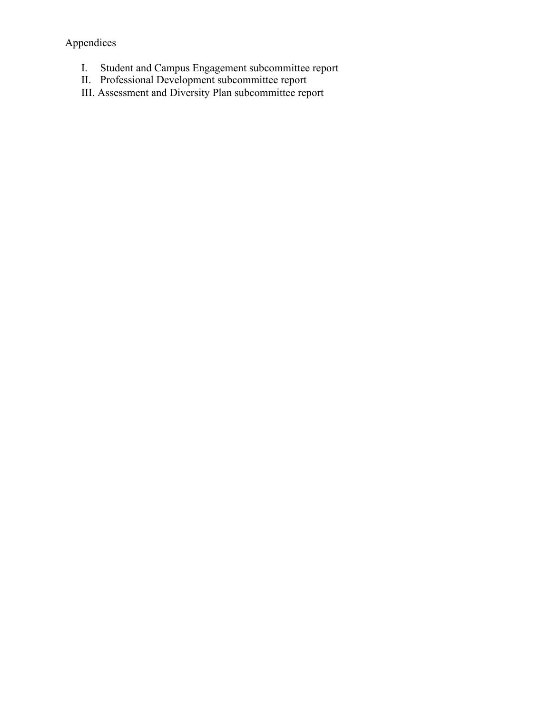Appendices

- I. Student and Campus Engagement subcommittee report
- II. Professional Development subcommittee report
- III. Assessment and Diversity Plan subcommittee report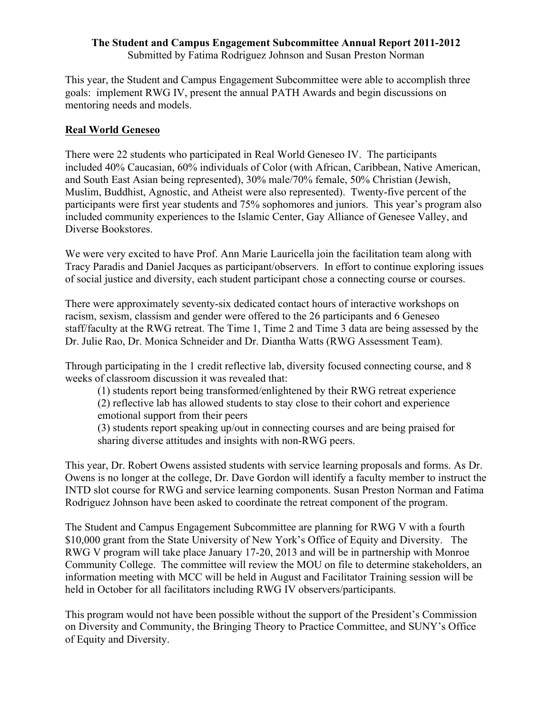#### **The Student and Campus Engagement Subcommittee Annual Report 2011-2012** Submitted by Fatima Rodriguez Johnson and Susan Preston Norman

This year, the Student and Campus Engagement Subcommittee were able to accomplish three goals: implement RWG IV, present the annual PATH Awards and begin discussions on mentoring needs and models.

### **Real World Geneseo**

There were 22 students who participated in Real World Geneseo IV. The participants included 40% Caucasian, 60% individuals of Color (with African, Caribbean, Native American, and South East Asian being represented), 30% male/70% female, 50% Christian (Jewish, Muslim, Buddhist, Agnostic, and Atheist were also represented). Twenty-five percent of the participants were first year students and 75% sophomores and juniors. This year's program also included community experiences to the Islamic Center, Gay Alliance of Genesee Valley, and Diverse Bookstores.

We were very excited to have Prof. Ann Marie Lauricella join the facilitation team along with Tracy Paradis and Daniel Jacques as participant/observers. In effort to continue exploring issues of social justice and diversity, each student participant chose a connecting course or courses.

There were approximately seventy-six dedicated contact hours of interactive workshops on racism, sexism, classism and gender were offered to the 26 participants and 6 Geneseo staff/faculty at the RWG retreat. The Time 1, Time 2 and Time 3 data are being assessed by the Dr. Julie Rao, Dr. Monica Schneider and Dr. Diantha Watts (RWG Assessment Team).

Through participating in the 1 credit reflective lab, diversity focused connecting course, and 8 weeks of classroom discussion it was revealed that:

(1) students report being transformed/enlightened by their RWG retreat experience (2) reflective lab has allowed students to stay close to their cohort and experience emotional support from their peers (3) students report speaking up/out in connecting courses and are being praised for

sharing diverse attitudes and insights with non-RWG peers.

This year, Dr. Robert Owens assisted students with service learning proposals and forms. As Dr. Owens is no longer at the college, Dr. Dave Gordon will identify a faculty member to instruct the INTD slot course for RWG and service learning components. Susan Preston Norman and Fatima Rodriguez Johnson have been asked to coordinate the retreat component of the program.

The Student and Campus Engagement Subcommittee are planning for RWG V with a fourth \$10,000 grant from the State University of New York's Office of Equity and Diversity. The RWG V program will take place January 17-20, 2013 and will be in partnership with Monroe Community College. The committee will review the MOU on file to determine stakeholders, an information meeting with MCC will be held in August and Facilitator Training session will be held in October for all facilitators including RWG IV observers/participants.

This program would not have been possible without the support of the President's Commission on Diversity and Community, the Bringing Theory to Practice Committee, and SUNY's Office of Equity and Diversity.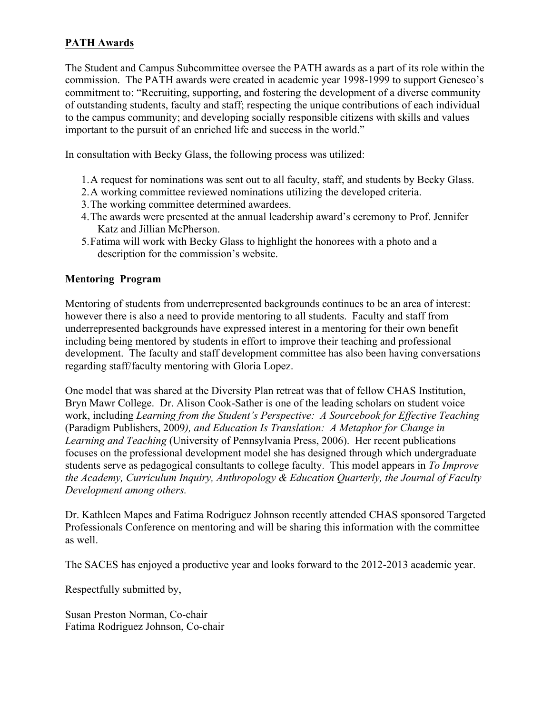## **PATH Awards**

The Student and Campus Subcommittee oversee the PATH awards as a part of its role within the commission. The PATH awards were created in academic year 1998-1999 to support Geneseo's commitment to: "Recruiting, supporting, and fostering the development of a diverse community of outstanding students, faculty and staff; respecting the unique contributions of each individual to the campus community; and developing socially responsible citizens with skills and values important to the pursuit of an enriched life and success in the world."

In consultation with Becky Glass, the following process was utilized:

- 1.A request for nominations was sent out to all faculty, staff, and students by Becky Glass.
- 2.A working committee reviewed nominations utilizing the developed criteria.
- 3.The working committee determined awardees.
- 4.The awards were presented at the annual leadership award's ceremony to Prof. Jennifer Katz and Jillian McPherson.
- 5.Fatima will work with Becky Glass to highlight the honorees with a photo and a description for the commission's website.

### **Mentoring Program**

Mentoring of students from underrepresented backgrounds continues to be an area of interest: however there is also a need to provide mentoring to all students. Faculty and staff from underrepresented backgrounds have expressed interest in a mentoring for their own benefit including being mentored by students in effort to improve their teaching and professional development. The faculty and staff development committee has also been having conversations regarding staff/faculty mentoring with Gloria Lopez.

One model that was shared at the Diversity Plan retreat was that of fellow CHAS Institution, Bryn Mawr College. Dr. Alison Cook-Sather is one of the leading scholars on student voice work, including *Learning from the Student's Perspective: A Sourcebook for Effective Teaching*  (Paradigm Publishers, 2009*), and Education Is Translation: A Metaphor for Change in Learning and Teaching* (University of Pennsylvania Press, 2006). Her recent publications focuses on the professional development model she has designed through which undergraduate students serve as pedagogical consultants to college faculty. This model appears in *To Improve the Academy, Curriculum Inquiry, Anthropology & Education Quarterly, the Journal of Faculty Development among others.*

Dr. Kathleen Mapes and Fatima Rodriguez Johnson recently attended CHAS sponsored Targeted Professionals Conference on mentoring and will be sharing this information with the committee as well.

The SACES has enjoyed a productive year and looks forward to the 2012-2013 academic year.

Respectfully submitted by,

Susan Preston Norman, Co-chair Fatima Rodriguez Johnson, Co-chair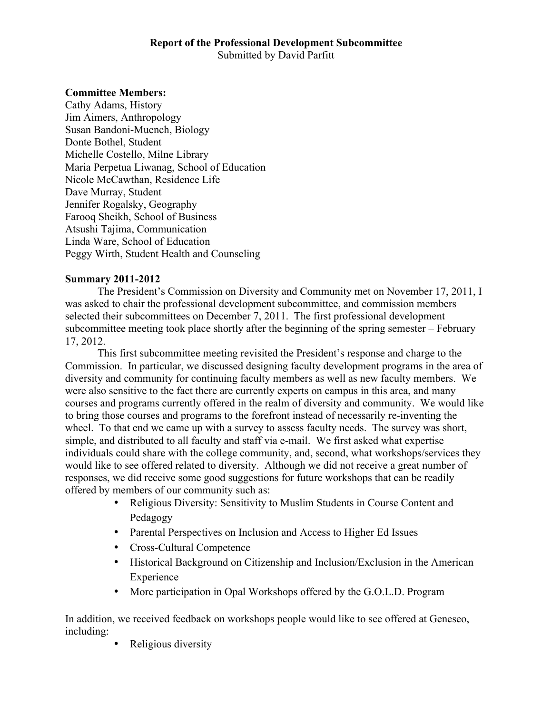### **Report of the Professional Development Subcommittee** Submitted by David Parfitt

#### **Committee Members:**

Cathy Adams, History Jim Aimers, Anthropology Susan Bandoni-Muench, Biology Donte Bothel, Student Michelle Costello, Milne Library Maria Perpetua Liwanag, School of Education Nicole McCawthan, Residence Life Dave Murray, Student Jennifer Rogalsky, Geography Farooq Sheikh, School of Business Atsushi Tajima, Communication Linda Ware, School of Education Peggy Wirth, Student Health and Counseling

#### **Summary 2011-2012**

The President's Commission on Diversity and Community met on November 17, 2011, I was asked to chair the professional development subcommittee, and commission members selected their subcommittees on December 7, 2011. The first professional development subcommittee meeting took place shortly after the beginning of the spring semester – February 17, 2012.

This first subcommittee meeting revisited the President's response and charge to the Commission. In particular, we discussed designing faculty development programs in the area of diversity and community for continuing faculty members as well as new faculty members. We were also sensitive to the fact there are currently experts on campus in this area, and many courses and programs currently offered in the realm of diversity and community. We would like to bring those courses and programs to the forefront instead of necessarily re-inventing the wheel. To that end we came up with a survey to assess faculty needs. The survey was short, simple, and distributed to all faculty and staff via e-mail. We first asked what expertise individuals could share with the college community, and, second, what workshops/services they would like to see offered related to diversity. Although we did not receive a great number of responses, we did receive some good suggestions for future workshops that can be readily offered by members of our community such as:

- Religious Diversity: Sensitivity to Muslim Students in Course Content and Pedagogy
- Parental Perspectives on Inclusion and Access to Higher Ed Issues
- Cross-Cultural Competence
- Historical Background on Citizenship and Inclusion/Exclusion in the American Experience
- More participation in Opal Workshops offered by the G.O.L.D. Program

In addition, we received feedback on workshops people would like to see offered at Geneseo, including:

Religious diversity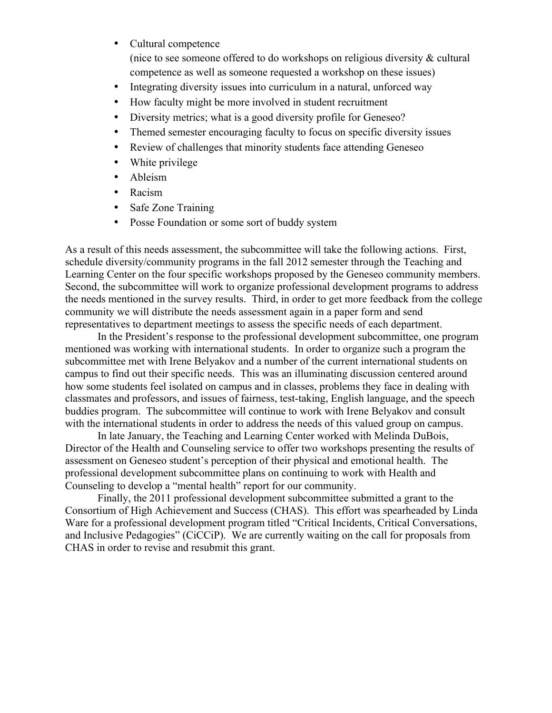- Cultural competence (nice to see someone offered to do workshops on religious diversity & cultural competence as well as someone requested a workshop on these issues)
- Integrating diversity issues into curriculum in a natural, unforced way
- How faculty might be more involved in student recruitment
- Diversity metrics; what is a good diversity profile for Geneseo?
- Themed semester encouraging faculty to focus on specific diversity issues
- Review of challenges that minority students face attending Geneseo
- White privilege
- Ableism
- Racism
- Safe Zone Training
- Posse Foundation or some sort of buddy system

As a result of this needs assessment, the subcommittee will take the following actions. First, schedule diversity/community programs in the fall 2012 semester through the Teaching and Learning Center on the four specific workshops proposed by the Geneseo community members. Second, the subcommittee will work to organize professional development programs to address the needs mentioned in the survey results. Third, in order to get more feedback from the college community we will distribute the needs assessment again in a paper form and send representatives to department meetings to assess the specific needs of each department.

In the President's response to the professional development subcommittee, one program mentioned was working with international students. In order to organize such a program the subcommittee met with Irene Belyakov and a number of the current international students on campus to find out their specific needs. This was an illuminating discussion centered around how some students feel isolated on campus and in classes, problems they face in dealing with classmates and professors, and issues of fairness, test-taking, English language, and the speech buddies program. The subcommittee will continue to work with Irene Belyakov and consult with the international students in order to address the needs of this valued group on campus.

In late January, the Teaching and Learning Center worked with Melinda DuBois, Director of the Health and Counseling service to offer two workshops presenting the results of assessment on Geneseo student's perception of their physical and emotional health. The professional development subcommittee plans on continuing to work with Health and Counseling to develop a "mental health" report for our community.

Finally, the 2011 professional development subcommittee submitted a grant to the Consortium of High Achievement and Success (CHAS). This effort was spearheaded by Linda Ware for a professional development program titled "Critical Incidents, Critical Conversations, and Inclusive Pedagogies" (CiCCiP). We are currently waiting on the call for proposals from CHAS in order to revise and resubmit this grant.